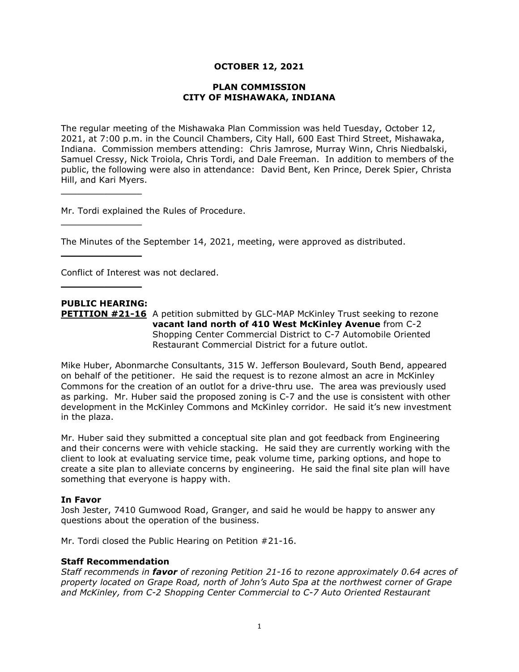## **OCTOBER 12, 2021**

#### **PLAN COMMISSION CITY OF MISHAWAKA, INDIANA**

The regular meeting of the Mishawaka Plan Commission was held Tuesday, October 12, 2021, at 7:00 p.m. in the Council Chambers, City Hall, 600 East Third Street, Mishawaka, Indiana. Commission members attending: Chris Jamrose, Murray Winn, Chris Niedbalski, Samuel Cressy, Nick Troiola, Chris Tordi, and Dale Freeman. In addition to members of the public, the following were also in attendance: David Bent, Ken Prince, Derek Spier, Christa Hill, and Kari Myers.

Mr. Tordi explained the Rules of Procedure.

The Minutes of the September 14, 2021, meeting, were approved as distributed.

Conflict of Interest was not declared.

# **PUBLIC HEARING:**

 $\overline{\phantom{a}}$  , where  $\overline{\phantom{a}}$  , where  $\overline{\phantom{a}}$ 

 $\overline{\phantom{a}}$  , where  $\overline{\phantom{a}}$  , where  $\overline{\phantom{a}}$ 

 $\overline{\phantom{a}}$  , where  $\overline{\phantom{a}}$ 

 $\overline{\phantom{a}}$  , where  $\overline{\phantom{a}}$  , where  $\overline{\phantom{a}}$ 

**PETITION #21-16** A petition submitted by GLC-MAP McKinley Trust seeking to rezone **vacant land north of 410 West McKinley Avenue** from C-2 Shopping Center Commercial District to C-7 Automobile Oriented Restaurant Commercial District for a future outlot.

Mike Huber, Abonmarche Consultants, 315 W. Jefferson Boulevard, South Bend, appeared on behalf of the petitioner. He said the request is to rezone almost an acre in McKinley Commons for the creation of an outlot for a drive-thru use. The area was previously used as parking. Mr. Huber said the proposed zoning is C-7 and the use is consistent with other development in the McKinley Commons and McKinley corridor. He said it's new investment in the plaza.

Mr. Huber said they submitted a conceptual site plan and got feedback from Engineering and their concerns were with vehicle stacking. He said they are currently working with the client to look at evaluating service time, peak volume time, parking options, and hope to create a site plan to alleviate concerns by engineering. He said the final site plan will have something that everyone is happy with.

## **In Favor**

Josh Jester, 7410 Gumwood Road, Granger, and said he would be happy to answer any questions about the operation of the business.

Mr. Tordi closed the Public Hearing on Petition #21-16.

#### **Staff Recommendation**

*Staff recommends in favor of rezoning Petition 21-16 to rezone approximately 0.64 acres of property located on Grape Road, north of John's Auto Spa at the northwest corner of Grape and McKinley, from C-2 Shopping Center Commercial to C-7 Auto Oriented Restaurant*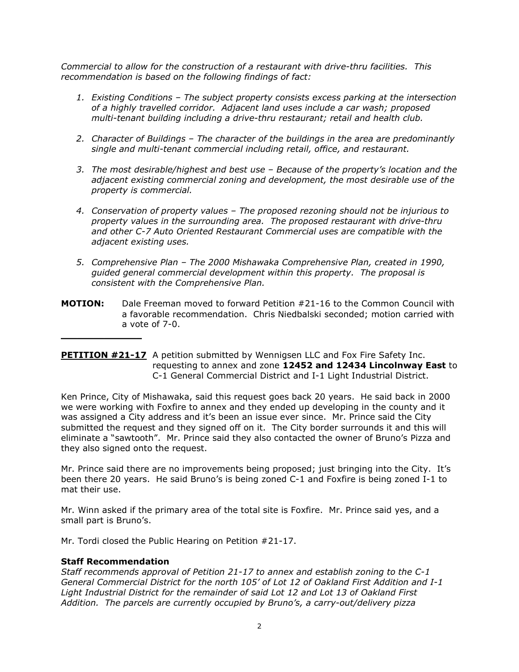*Commercial to allow for the construction of a restaurant with drive-thru facilities. This recommendation is based on the following findings of fact:*

- *1. Existing Conditions – The subject property consists excess parking at the intersection of a highly travelled corridor. Adjacent land uses include a car wash; proposed multi-tenant building including a drive-thru restaurant; retail and health club.*
- *2. Character of Buildings – The character of the buildings in the area are predominantly single and multi-tenant commercial including retail, office, and restaurant.*
- *3. The most desirable/highest and best use – Because of the property's location and the adjacent existing commercial zoning and development, the most desirable use of the property is commercial.*
- *4. Conservation of property values – The proposed rezoning should not be injurious to property values in the surrounding area. The proposed restaurant with drive-thru and other C-7 Auto Oriented Restaurant Commercial uses are compatible with the adjacent existing uses.*
- *5. Comprehensive Plan – The 2000 Mishawaka Comprehensive Plan, created in 1990, guided general commercial development within this property. The proposal is consistent with the Comprehensive Plan.*
- **MOTION:** Dale Freeman moved to forward Petition #21-16 to the Common Council with a favorable recommendation. Chris Niedbalski seconded; motion carried with a vote of 7-0.

## **PETITION #21-17** A petition submitted by Wennigsen LLC and Fox Fire Safety Inc. requesting to annex and zone **12452 and 12434 Lincolnway East** to C-1 General Commercial District and I-1 Light Industrial District.

Ken Prince, City of Mishawaka, said this request goes back 20 years. He said back in 2000 we were working with Foxfire to annex and they ended up developing in the county and it was assigned a City address and it's been an issue ever since. Mr. Prince said the City submitted the request and they signed off on it. The City border surrounds it and this will eliminate a "sawtooth". Mr. Prince said they also contacted the owner of Bruno's Pizza and they also signed onto the request.

Mr. Prince said there are no improvements being proposed; just bringing into the City. It's been there 20 years. He said Bruno's is being zoned C-1 and Foxfire is being zoned I-1 to mat their use.

Mr. Winn asked if the primary area of the total site is Foxfire. Mr. Prince said yes, and a small part is Bruno's.

Mr. Tordi closed the Public Hearing on Petition #21-17.

## **Staff Recommendation**

 $\overline{\phantom{a}}$  , where  $\overline{\phantom{a}}$ 

*Staff recommends approval of Petition 21-17 to annex and establish zoning to the C-1 General Commercial District for the north 105' of Lot 12 of Oakland First Addition and I-1 Light Industrial District for the remainder of said Lot 12 and Lot 13 of Oakland First Addition. The parcels are currently occupied by Bruno's, a carry-out/delivery pizza*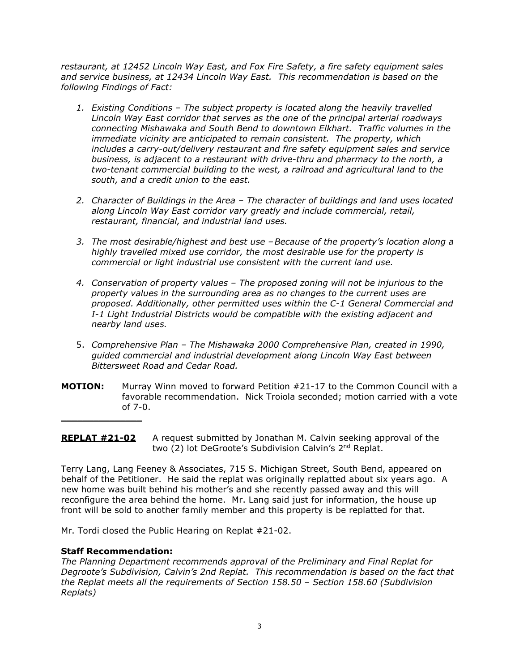*restaurant, at 12452 Lincoln Way East, and Fox Fire Safety, a fire safety equipment sales and service business, at 12434 Lincoln Way East. This recommendation is based on the following Findings of Fact:*

- *1. Existing Conditions – The subject property is located along the heavily travelled Lincoln Way East corridor that serves as the one of the principal arterial roadways connecting Mishawaka and South Bend to downtown Elkhart. Traffic volumes in the immediate vicinity are anticipated to remain consistent. The property, which includes a carry-out/delivery restaurant and fire safety equipment sales and service business, is adjacent to a restaurant with drive-thru and pharmacy to the north, a two-tenant commercial building to the west, a railroad and agricultural land to the south, and a credit union to the east.*
- *2. Character of Buildings in the Area – The character of buildings and land uses located along Lincoln Way East corridor vary greatly and include commercial, retail, restaurant, financial, and industrial land uses.*
- *3. The most desirable/highest and best use –Because of the property's location along a highly travelled mixed use corridor, the most desirable use for the property is commercial or light industrial use consistent with the current land use.*
- *4. Conservation of property values – The proposed zoning will not be injurious to the property values in the surrounding area as no changes to the current uses are proposed. Additionally, other permitted uses within the C-1 General Commercial and I-1 Light Industrial Districts would be compatible with the existing adjacent and nearby land uses.*
- 5. *Comprehensive Plan – The Mishawaka 2000 Comprehensive Plan, created in 1990, guided commercial and industrial development along Lincoln Way East between Bittersweet Road and Cedar Road.*
- **MOTION:** Murray Winn moved to forward Petition #21-17 to the Common Council with a favorable recommendation. Nick Troiola seconded; motion carried with a vote of 7-0.

**REPLAT #21-02** A request submitted by Jonathan M. Calvin seeking approval of the two (2) lot DeGroote's Subdivision Calvin's 2<sup>nd</sup> Replat.

Terry Lang, Lang Feeney & Associates, 715 S. Michigan Street, South Bend, appeared on behalf of the Petitioner. He said the replat was originally replatted about six years ago. A new home was built behind his mother's and she recently passed away and this will reconfigure the area behind the home. Mr. Lang said just for information, the house up front will be sold to another family member and this property is be replatted for that.

Mr. Tordi closed the Public Hearing on Replat #21-02.

## **Staff Recommendation:**

 $\overline{\phantom{a}}$  , where  $\overline{\phantom{a}}$  , where  $\overline{\phantom{a}}$ 

*The Planning Department recommends approval of the Preliminary and Final Replat for Degroote's Subdivision, Calvin's 2nd Replat. This recommendation is based on the fact that the Replat meets all the requirements of Section 158.50 – Section 158.60 (Subdivision Replats)*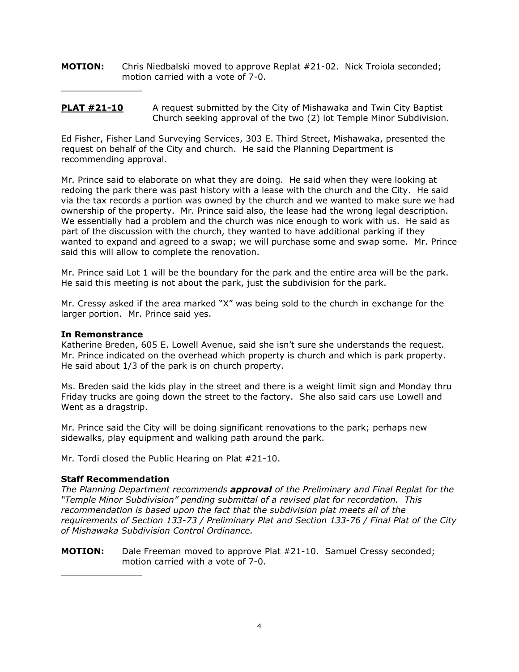**MOTION:** Chris Niedbalski moved to approve Replat #21-02. Nick Troiola seconded; motion carried with a vote of 7-0.

## **PLAT #21-10** A request submitted by the City of Mishawaka and Twin City Baptist Church seeking approval of the two (2) lot Temple Minor Subdivision.

Ed Fisher, Fisher Land Surveying Services, 303 E. Third Street, Mishawaka, presented the request on behalf of the City and church. He said the Planning Department is recommending approval.

Mr. Prince said to elaborate on what they are doing. He said when they were looking at redoing the park there was past history with a lease with the church and the City. He said via the tax records a portion was owned by the church and we wanted to make sure we had ownership of the property. Mr. Prince said also, the lease had the wrong legal description. We essentially had a problem and the church was nice enough to work with us. He said as part of the discussion with the church, they wanted to have additional parking if they wanted to expand and agreed to a swap; we will purchase some and swap some. Mr. Prince said this will allow to complete the renovation.

Mr. Prince said Lot 1 will be the boundary for the park and the entire area will be the park. He said this meeting is not about the park, just the subdivision for the park.

Mr. Cressy asked if the area marked "X" was being sold to the church in exchange for the larger portion. Mr. Prince said yes.

#### **In Remonstrance**

 $\overline{\phantom{a}}$  , where  $\overline{\phantom{a}}$  , where  $\overline{\phantom{a}}$ 

Katherine Breden, 605 E. Lowell Avenue, said she isn't sure she understands the request. Mr. Prince indicated on the overhead which property is church and which is park property. He said about 1/3 of the park is on church property.

Ms. Breden said the kids play in the street and there is a weight limit sign and Monday thru Friday trucks are going down the street to the factory. She also said cars use Lowell and Went as a dragstrip.

Mr. Prince said the City will be doing significant renovations to the park; perhaps new sidewalks, play equipment and walking path around the park.

Mr. Tordi closed the Public Hearing on Plat #21-10.

## **Staff Recommendation**

 $\overline{\phantom{a}}$  , where  $\overline{\phantom{a}}$  , where  $\overline{\phantom{a}}$ 

*The Planning Department recommends approval of the Preliminary and Final Replat for the "Temple Minor Subdivision" pending submittal of a revised plat for recordation. This recommendation is based upon the fact that the subdivision plat meets all of the requirements of Section 133-73 / Preliminary Plat and Section 133-76 / Final Plat of the City of Mishawaka Subdivision Control Ordinance.*

#### **MOTION:** Dale Freeman moved to approve Plat #21-10. Samuel Cressy seconded; motion carried with a vote of 7-0.